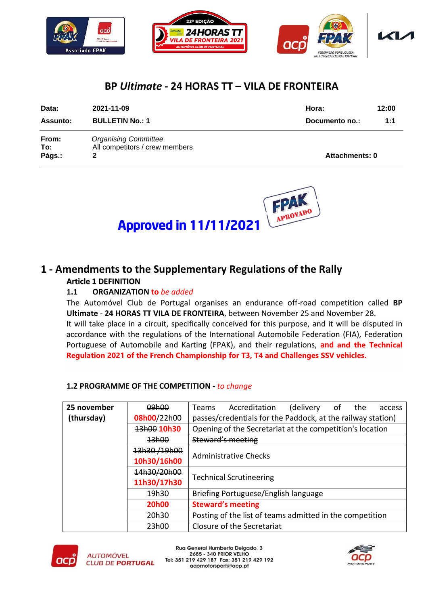

## **BP** *Ultimate* **- 24 HORAS TT – VILA DE FRONTEIRA**

| Data:                  | 2021-11-09                                                    | Hora:                 | 12:00 |
|------------------------|---------------------------------------------------------------|-----------------------|-------|
| Assunto:               | <b>BULLETIN No.: 1</b>                                        | Documento no.:        | 1:1   |
| From:<br>To:<br>Págs.: | <b>Organising Committee</b><br>All competitors / crew members | <b>Attachments: 0</b> |       |



# Approved in 11/11/2021

### **1 - Amendments to the Supplementary Regulations of the Rally Article 1 DEFINITION**

#### **1.1 ORGANIZATION to** *be added*

The Automóvel Club de Portugal organises an endurance off-road competition called **BP Ultimate** - **24 HORAS TT VILA DE FRONTEIRA**, between November 25 and November 28. It will take place in a circuit, specifically conceived for this purpose, and it will be disputed in accordance with the regulations of the International Automobile Federation (FIA), Federation Portuguese of Automobile and Karting (FPAK), and their regulations, **and and the Technical Regulation 2021 of the French Championship for T3, T4 and Challenges SSV vehicles.**

#### **1.2 PROGRAMME OF THE COMPETITION -** *to change*

| 25 november | 09h00                                         | Accreditation<br>(delivery of the<br><b>Teams</b><br>access |  |
|-------------|-----------------------------------------------|-------------------------------------------------------------|--|
| (thursday)  | 08h00/22h00                                   | passes/credentials for the Paddock, at the railway station) |  |
|             | 13h00 10h30                                   | Opening of the Secretariat at the competition's location    |  |
|             | 13h00                                         | <b>Steward's meeting</b>                                    |  |
|             | 13h30/19h00                                   |                                                             |  |
|             | 10h30/16h00                                   | <b>Administrative Checks</b>                                |  |
|             | 14h30/20h00                                   |                                                             |  |
|             | <b>Technical Scrutineering</b><br>11h30/17h30 |                                                             |  |
|             | 19h30                                         | Briefing Portuguese/English language                        |  |
|             | <b>20h00</b>                                  | <b>Steward's meeting</b>                                    |  |
|             | 20h30                                         | Posting of the list of teams admitted in the competition    |  |
|             | 23h00                                         | Closure of the Secretariat                                  |  |



Rua General Humberto Delgado, 3 2685 - 340 PRIOR VELHO Tel: 351 219 429 187 Fax: 351 219 429 192 acpmotorsport@acp.pt